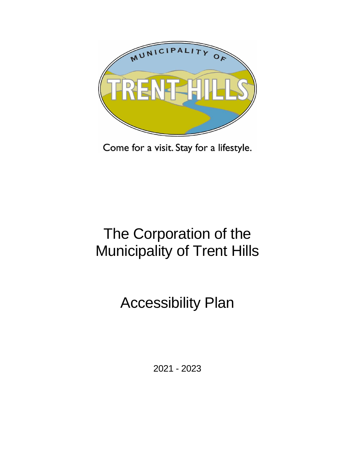

Come for a visit. Stay for a lifestyle.

# The Corporation of the Municipality of Trent Hills

# Accessibility Plan

2021 - 2023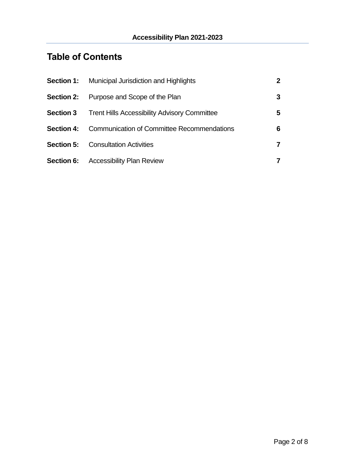## **Table of Contents**

| <b>Section 1:</b> | Municipal Jurisdiction and Highlights               | $\mathbf 2$ |
|-------------------|-----------------------------------------------------|-------------|
| <b>Section 2:</b> | Purpose and Scope of the Plan                       | 3           |
| <b>Section 3</b>  | <b>Trent Hills Accessibility Advisory Committee</b> | 5           |
| <b>Section 4:</b> | Communication of Committee Recommendations          | 6           |
| Section 5:        | <b>Consultation Activities</b>                      | 7           |
|                   | <b>Section 6:</b> Accessibility Plan Review         | 7           |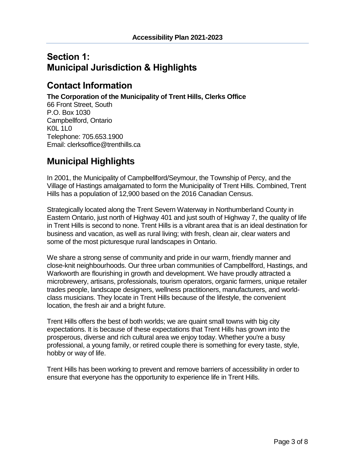### **Section 1: Municipal Jurisdiction & Highlights**

### **Contact Information**

**The Corporation of the Municipality of Trent Hills, Clerks Office**

66 Front Street, South P.O. Box 1030 Campbellford, Ontario K0L 1L0 Telephone: 705.653.1900 Email: clerksoffice@trenthills.ca

### **Municipal Highlights**

In 2001, the Municipality of Campbellford/Seymour, the Township of Percy, and the Village of Hastings amalgamated to form the Municipality of Trent Hills. Combined, Trent Hills has a population of 12,900 based on the 2016 Canadian Census.

Strategically located along the Trent Severn Waterway in Northumberland County in Eastern Ontario, just north of Highway 401 and just south of Highway 7, the quality of life in Trent Hills is second to none. Trent Hills is a vibrant area that is an ideal destination for business and vacation, as well as rural living; with fresh, clean air, clear waters and some of the most picturesque rural landscapes in Ontario.

We share a strong sense of community and pride in our warm, friendly manner and close-knit neighbourhoods. Our three urban communities of Campbellford, Hastings, and Warkworth are flourishing in growth and development. We have proudly attracted a microbrewery, artisans, professionals, tourism operators, organic farmers, unique retailer trades people, landscape designers, wellness practitioners, manufacturers, and worldclass musicians. They locate in Trent Hills because of the lifestyle, the convenient location, the fresh air and a bright future.

Trent Hills offers the best of both worlds; we are quaint small towns with big city expectations. It is because of these expectations that Trent Hills has grown into the prosperous, diverse and rich cultural area we enjoy today. Whether you're a busy professional, a young family, or retired couple there is something for every taste, style, hobby or way of life.

Trent Hills has been working to prevent and remove barriers of accessibility in order to ensure that everyone has the opportunity to experience life in Trent Hills.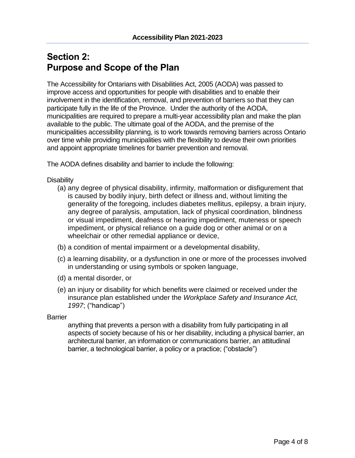### **Section 2: Purpose and Scope of the Plan**

The Accessibility for Ontarians with Disabilities Act, 2005 (AODA) was passed to improve access and opportunities for people with disabilities and to enable their involvement in the identification, removal, and prevention of barriers so that they can participate fully in the life of the Province. Under the authority of the AODA, municipalities are required to prepare a multi-year accessibility plan and make the plan available to the public. The ultimate goal of the AODA, and the premise of the municipalities accessibility planning, is to work towards removing barriers across Ontario over time while providing municipalities with the flexibility to devise their own priorities and appoint appropriate timelines for barrier prevention and removal.

The AODA defines disability and barrier to include the following:

#### Disability

- (a) any degree of physical disability, infirmity, malformation or disfigurement that is caused by bodily injury, birth defect or illness and, without limiting the generality of the foregoing, includes diabetes mellitus, epilepsy, a brain injury, any degree of paralysis, amputation, lack of physical coordination, blindness or visual impediment, deafness or hearing impediment, muteness or speech impediment, or physical reliance on a guide dog or other animal or on a wheelchair or other remedial appliance or device,
- (b) a condition of mental impairment or a developmental disability,
- (c) a learning disability, or a dysfunction in one or more of the processes involved in understanding or using symbols or spoken language,
- (d) a mental disorder, or
- (e) an injury or disability for which benefits were claimed or received under the insurance plan established under the *Workplace Safety and Insurance Act, 1997*; ("handicap")

#### Barrier

anything that prevents a person with a disability from fully participating in all aspects of society because of his or her disability, including a physical barrier, an architectural barrier, an information or communications barrier, an attitudinal barrier, a technological barrier, a policy or a practice; ("obstacle")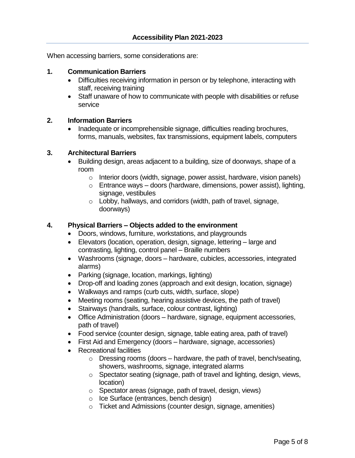When accessing barriers, some considerations are:

#### **1. Communication Barriers**

- Difficulties receiving information in person or by telephone, interacting with staff, receiving training
- Staff unaware of how to communicate with people with disabilities or refuse service

#### **2. Information Barriers**

 Inadequate or incomprehensible signage, difficulties reading brochures, forms, manuals, websites, fax transmissions, equipment labels, computers

### **3. Architectural Barriers**

- Building design, areas adjacent to a building, size of doorways, shape of a room
	- o Interior doors (width, signage, power assist, hardware, vision panels)
	- $\circ$  Entrance ways doors (hardware, dimensions, power assist), lighting, signage, vestibules
	- $\circ$  Lobby, hallways, and corridors (width, path of travel, signage, doorways)

#### **4. Physical Barriers – Objects added to the environment**

- Doors, windows, furniture, workstations, and playgrounds
- Elevators (location, operation, design, signage, lettering large and contrasting, lighting, control panel – Braille numbers
- Washrooms (signage, doors hardware, cubicles, accessories, integrated alarms)
- Parking (signage, location, markings, lighting)
- Drop-off and loading zones (approach and exit design, location, signage)
- Walkways and ramps (curb cuts, width, surface, slope)
- Meeting rooms (seating, hearing assistive devices, the path of travel)
- Stairways (handrails, surface, colour contrast, lighting)
- Office Administration (doors hardware, signage, equipment accessories, path of travel)
- Food service (counter design, signage, table eating area, path of travel)
- First Aid and Emergency (doors hardware, signage, accessories)
- Recreational facilities
	- $\circ$  Dressing rooms (doors hardware, the path of travel, bench/seating, showers, washrooms, signage, integrated alarms
	- o Spectator seating (signage, path of travel and lighting, design, views, location)
	- o Spectator areas (signage, path of travel, design, views)
	- o Ice Surface (entrances, bench design)
	- o Ticket and Admissions (counter design, signage, amenities)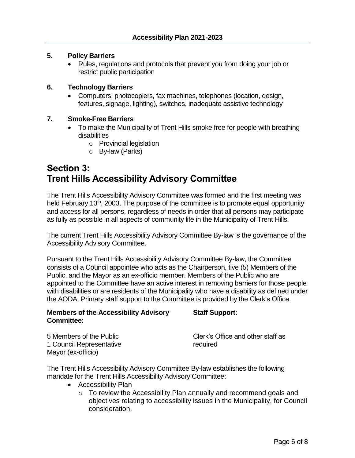#### **5. Policy Barriers**

 Rules, regulations and protocols that prevent you from doing your job or restrict public participation

#### **6. Technology Barriers**

 Computers, photocopiers, fax machines, telephones (location, design, features, signage, lighting), switches, inadequate assistive technology

#### **7. Smoke-Free Barriers**

- To make the Municipality of Trent Hills smoke free for people with breathing disabilities
	- o Provincial legislation
	- o By-law (Parks)

### **Section 3: Trent Hills Accessibility Advisory Committee**

The Trent Hills Accessibility Advisory Committee was formed and the first meeting was held February 13<sup>th</sup>, 2003. The purpose of the committee is to promote equal opportunity and access for all persons, regardless of needs in order that all persons may participate as fully as possible in all aspects of community life in the Municipality of Trent Hills.

The current Trent Hills Accessibility Advisory Committee By-law is the governance of the Accessibility Advisory Committee.

Pursuant to the Trent Hills Accessibility Advisory Committee By-law, the Committee consists of a Council appointee who acts as the Chairperson, five (5) Members of the Public, and the Mayor as an ex-officio member. Members of the Public who are appointed to the Committee have an active interest in removing barriers for those people with disabilities or are residents of the Municipality who have a disability as defined under the AODA. Primary staff support to the Committee is provided by the Clerk's Office.

#### **Members of the Accessibility Advisory Staff Support: Committee**:

1 Council Representative **required** Mayor (ex-officio)

5 Members of the Public Clerk's Office and other staff as

The Trent Hills Accessibility Advisory Committee By-law establishes the following mandate for the Trent Hills Accessibility Advisory Committee:

- Accessibility Plan
	- $\circ$  To review the Accessibility Plan annually and recommend goals and objectives relating to accessibility issues in the Municipality, for Council consideration.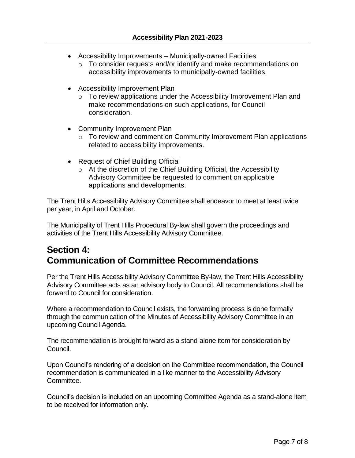- Accessibility Improvements Municipally-owned Facilities
	- o To consider requests and/or identify and make recommendations on accessibility improvements to municipally-owned facilities.
- Accessibility Improvement Plan
	- o To review applications under the Accessibility Improvement Plan and make recommendations on such applications, for Council consideration.
- Community Improvement Plan
	- o To review and comment on Community Improvement Plan applications related to accessibility improvements.
- Request of Chief Building Official
	- o At the discretion of the Chief Building Official, the Accessibility Advisory Committee be requested to comment on applicable applications and developments.

The Trent Hills Accessibility Advisory Committee shall endeavor to meet at least twice per year, in April and October.

The Municipality of Trent Hills Procedural By-law shall govern the proceedings and activities of the Trent Hills Accessibility Advisory Committee.

### **Section 4: Communication of Committee Recommendations**

Per the Trent Hills Accessibility Advisory Committee By-law, the Trent Hills Accessibility Advisory Committee acts as an advisory body to Council. All recommendations shall be forward to Council for consideration.

Where a recommendation to Council exists, the forwarding process is done formally through the communication of the Minutes of Accessibility Advisory Committee in an upcoming Council Agenda.

The recommendation is brought forward as a stand-alone item for consideration by Council.

Upon Council's rendering of a decision on the Committee recommendation, the Council recommendation is communicated in a like manner to the Accessibility Advisory Committee.

Council's decision is included on an upcoming Committee Agenda as a stand-alone item to be received for information only.